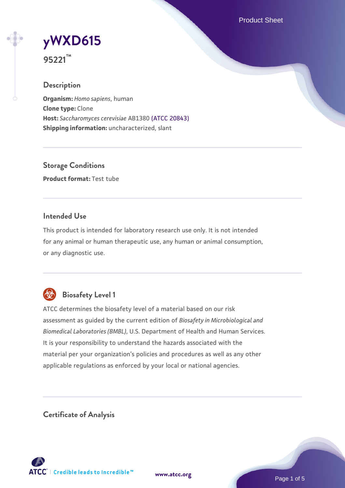Product Sheet

# **[yWXD615](https://www.atcc.org/products/95221)**

**95221™**

# **Description**

**Organism:** *Homo sapiens*, human **Clone type:** Clone **Host:** *Saccharomyces cerevisiae* AB1380 [\(ATCC 20843\)](https://www.atcc.org/products/20843) **Shipping information:** uncharacterized, slant

**Storage Conditions Product format:** Test tube

# **Intended Use**

This product is intended for laboratory research use only. It is not intended for any animal or human therapeutic use, any human or animal consumption, or any diagnostic use.



# **Biosafety Level 1**

ATCC determines the biosafety level of a material based on our risk assessment as guided by the current edition of *Biosafety in Microbiological and Biomedical Laboratories (BMBL)*, U.S. Department of Health and Human Services. It is your responsibility to understand the hazards associated with the material per your organization's policies and procedures as well as any other applicable regulations as enforced by your local or national agencies.

**Certificate of Analysis**

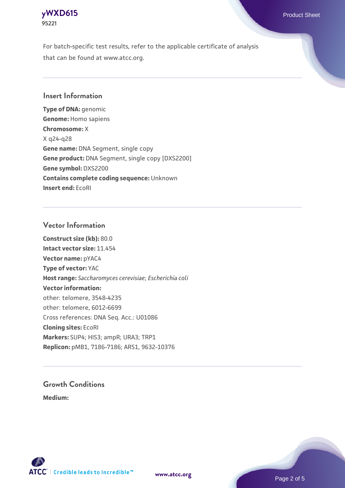# **[yWXD615](https://www.atcc.org/products/95221)** Product Sheet **95221**

For batch-specific test results, refer to the applicable certificate of analysis that can be found at www.atcc.org.

# **Insert Information**

**Type of DNA:** genomic **Genome:** Homo sapiens **Chromosome:** X X q24-q28 **Gene name:** DNA Segment, single copy **Gene product:** DNA Segment, single copy [DXS2200] **Gene symbol:** DXS2200 **Contains complete coding sequence:** Unknown **Insert end:** EcoRI

## **Vector Information**

**Construct size (kb):** 80.0 **Intact vector size:** 11.454 **Vector name:** pYAC4 **Type of vector:** YAC **Host range:** *Saccharomyces cerevisiae*; *Escherichia coli* **Vector information:** other: telomere, 3548-4235 other: telomere, 6012-6699 Cross references: DNA Seq. Acc.: U01086 **Cloning sites:** EcoRI **Markers:** SUP4; HIS3; ampR; URA3; TRP1 **Replicon:** pMB1, 7186-7186; ARS1, 9632-10376

# **Growth Conditions**

**Medium:** 



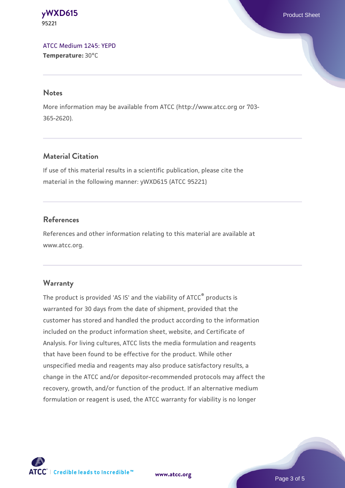**[yWXD615](https://www.atcc.org/products/95221)** Product Sheet **95221**

[ATCC Medium 1245: YEPD](https://www.atcc.org/-/media/product-assets/documents/microbial-media-formulations/1/2/4/5/atcc-medium-1245.pdf?rev=705ca55d1b6f490a808a965d5c072196) **Temperature:** 30°C

#### **Notes**

More information may be available from ATCC (http://www.atcc.org or 703- 365-2620).

# **Material Citation**

If use of this material results in a scientific publication, please cite the material in the following manner: yWXD615 (ATCC 95221)

## **References**

References and other information relating to this material are available at www.atcc.org.

#### **Warranty**

The product is provided 'AS IS' and the viability of ATCC® products is warranted for 30 days from the date of shipment, provided that the customer has stored and handled the product according to the information included on the product information sheet, website, and Certificate of Analysis. For living cultures, ATCC lists the media formulation and reagents that have been found to be effective for the product. While other unspecified media and reagents may also produce satisfactory results, a change in the ATCC and/or depositor-recommended protocols may affect the recovery, growth, and/or function of the product. If an alternative medium formulation or reagent is used, the ATCC warranty for viability is no longer



**[www.atcc.org](http://www.atcc.org)**

Page 3 of 5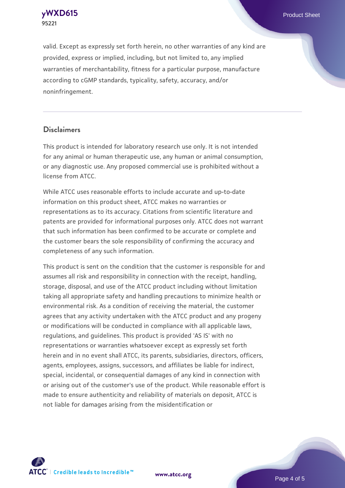**[yWXD615](https://www.atcc.org/products/95221)** Product Sheet **95221**

valid. Except as expressly set forth herein, no other warranties of any kind are provided, express or implied, including, but not limited to, any implied warranties of merchantability, fitness for a particular purpose, manufacture according to cGMP standards, typicality, safety, accuracy, and/or noninfringement.

#### **Disclaimers**

This product is intended for laboratory research use only. It is not intended for any animal or human therapeutic use, any human or animal consumption, or any diagnostic use. Any proposed commercial use is prohibited without a license from ATCC.

While ATCC uses reasonable efforts to include accurate and up-to-date information on this product sheet, ATCC makes no warranties or representations as to its accuracy. Citations from scientific literature and patents are provided for informational purposes only. ATCC does not warrant that such information has been confirmed to be accurate or complete and the customer bears the sole responsibility of confirming the accuracy and completeness of any such information.

This product is sent on the condition that the customer is responsible for and assumes all risk and responsibility in connection with the receipt, handling, storage, disposal, and use of the ATCC product including without limitation taking all appropriate safety and handling precautions to minimize health or environmental risk. As a condition of receiving the material, the customer agrees that any activity undertaken with the ATCC product and any progeny or modifications will be conducted in compliance with all applicable laws, regulations, and guidelines. This product is provided 'AS IS' with no representations or warranties whatsoever except as expressly set forth herein and in no event shall ATCC, its parents, subsidiaries, directors, officers, agents, employees, assigns, successors, and affiliates be liable for indirect, special, incidental, or consequential damages of any kind in connection with or arising out of the customer's use of the product. While reasonable effort is made to ensure authenticity and reliability of materials on deposit, ATCC is not liable for damages arising from the misidentification or



**[www.atcc.org](http://www.atcc.org)**

Page 4 of 5